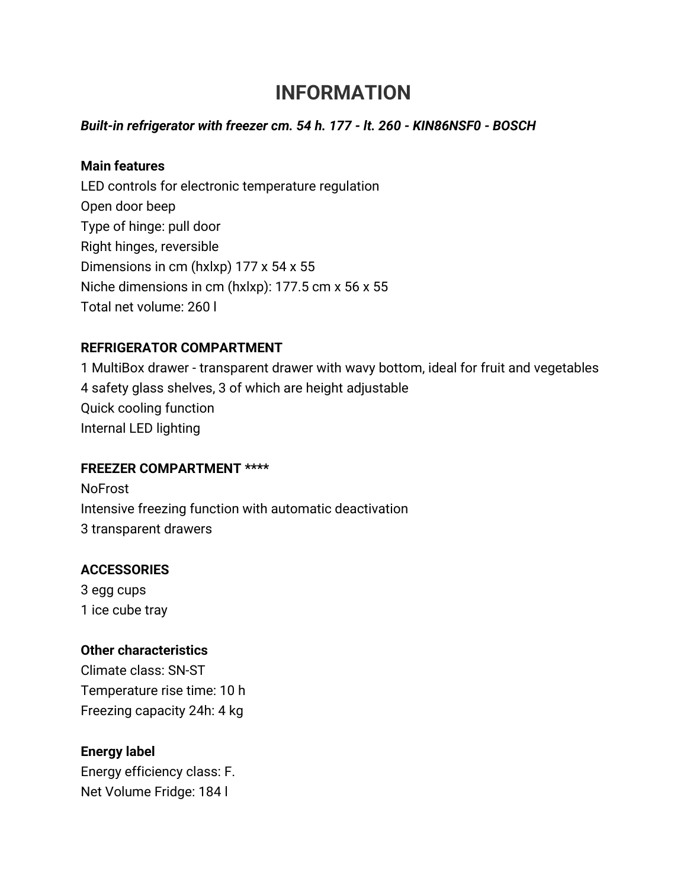# **INFORMATION**

## *Built-in refrigerator with freezer cm. 54 h. 177 - lt. 260 - KIN86NSF0 - BOSCH*

## **Main features**

LED controls for electronic temperature regulation Open door beep Type of hinge: pull door Right hinges, reversible Dimensions in cm (hxlxp) 177 x 54 x 55 Niche dimensions in cm (hxlxp): 177.5 cm x 56 x 55 Total net volume: 260 l

## **REFRIGERATOR COMPARTMENT**

1 MultiBox drawer - transparent drawer with wavy bottom, ideal for fruit and vegetables 4 safety glass shelves, 3 of which are height adjustable Quick cooling function Internal LED lighting

## **FREEZER COMPARTMENT \*\*\*\***

NoFrost Intensive freezing function with automatic deactivation 3 transparent drawers

# **ACCESSORIES**

3 egg cups 1 ice cube tray

## **Other characteristics**

Climate class: SN-ST Temperature rise time: 10 h Freezing capacity 24h: 4 kg

# **Energy label**

Energy efficiency class: F. Net Volume Fridge: 184 l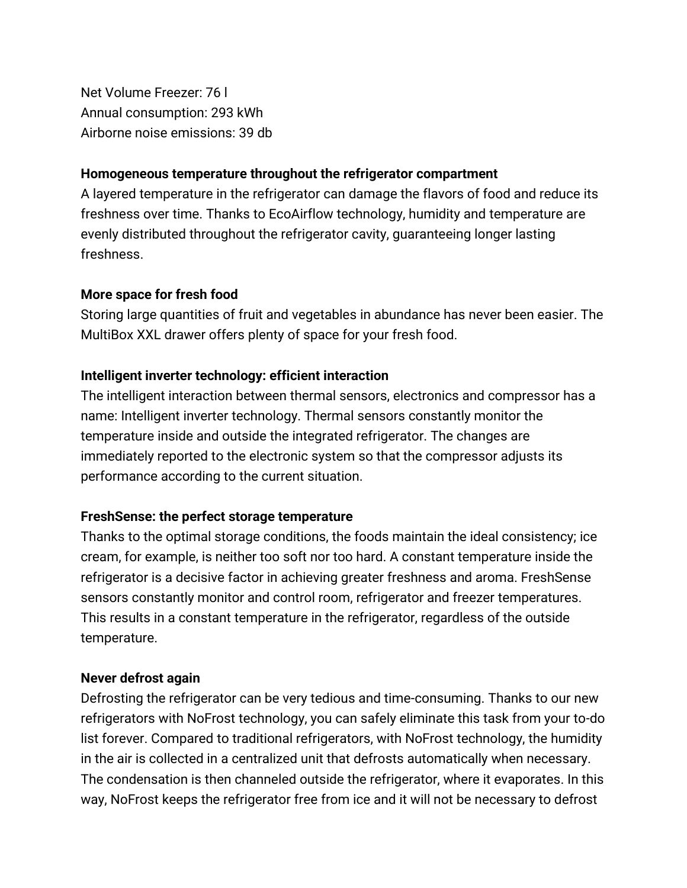Net Volume Freezer: 76 l Annual consumption: 293 kWh Airborne noise emissions: 39 db

#### **Homogeneous temperature throughout the refrigerator compartment**

A layered temperature in the refrigerator can damage the flavors of food and reduce its freshness over time. Thanks to EcoAirflow technology, humidity and temperature are evenly distributed throughout the refrigerator cavity, guaranteeing longer lasting freshness.

#### **More space for fresh food**

Storing large quantities of fruit and vegetables in abundance has never been easier. The MultiBox XXL drawer offers plenty of space for your fresh food.

## **Intelligent inverter technology: efficient interaction**

The intelligent interaction between thermal sensors, electronics and compressor has a name: Intelligent inverter technology. Thermal sensors constantly monitor the temperature inside and outside the integrated refrigerator. The changes are immediately reported to the electronic system so that the compressor adjusts its performance according to the current situation.

## **FreshSense: the perfect storage temperature**

Thanks to the optimal storage conditions, the foods maintain the ideal consistency; ice cream, for example, is neither too soft nor too hard. A constant temperature inside the refrigerator is a decisive factor in achieving greater freshness and aroma. FreshSense sensors constantly monitor and control room, refrigerator and freezer temperatures. This results in a constant temperature in the refrigerator, regardless of the outside temperature.

#### **Never defrost again**

Defrosting the refrigerator can be very tedious and time-consuming. Thanks to our new refrigerators with NoFrost technology, you can safely eliminate this task from your to-do list forever. Compared to traditional refrigerators, with NoFrost technology, the humidity in the air is collected in a centralized unit that defrosts automatically when necessary. The condensation is then channeled outside the refrigerator, where it evaporates. In this way, NoFrost keeps the refrigerator free from ice and it will not be necessary to defrost